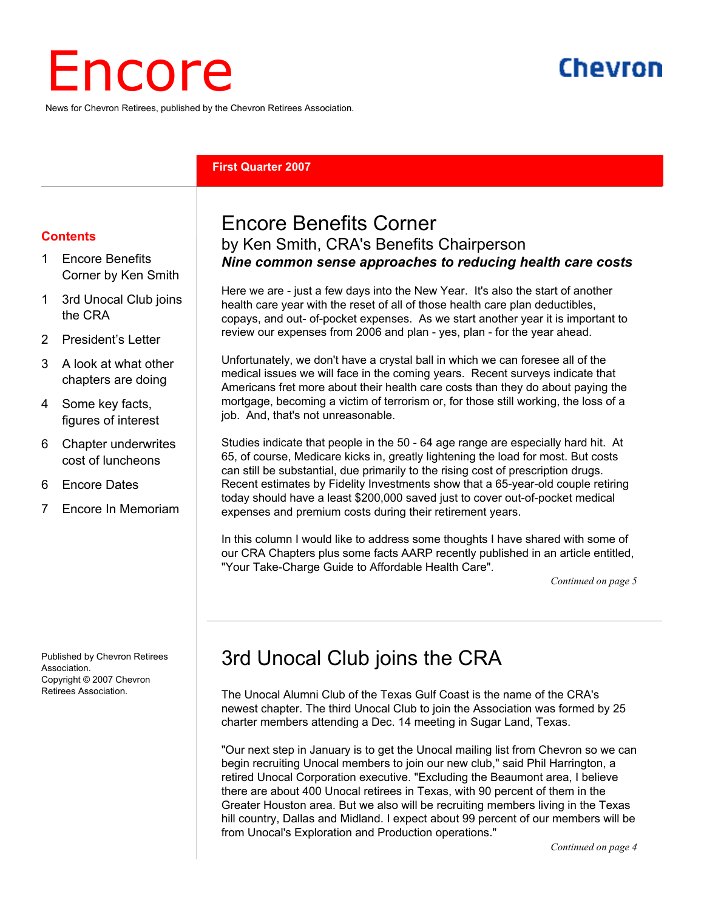# Encore

News for Chevron Retirees, published by the Chevron Retirees Association.

#### **First Quarter 2007**

#### **Contents**

- 1 Encore Benefits Corner by Ken Smith
- 1 3rd Unocal Club joins the CRA
- 2 President's Letter
- 3 A look at what other chapters are doing
- 4 Some key facts, figures of interest
- 6 Chapter underwrites cost of luncheons
- 6 Encore Dates
- 7 Encore In Memoriam

Published by Chevron Retirees Association. Copyright © 2007 Chevron Retirees Association.

# Encore Benefits Corner

#### by Ken Smith, CRA's Benefits Chairperson *Nine common sense approaches to reducing health care costs*

Here we are - just a few days into the New Year. It's also the start of another health care year with the reset of all of those health care plan deductibles, copays, and out- of-pocket expenses. As we start another year it is important to review our expenses from 2006 and plan - yes, plan - for the year ahead.

Unfortunately, we don't have a crystal ball in which we can foresee all of the medical issues we will face in the coming years. Recent surveys indicate that Americans fret more about their health care costs than they do about paying the mortgage, becoming a victim of terrorism or, for those still working, the loss of a job. And, that's not unreasonable.

Studies indicate that people in the 50 - 64 age range are especially hard hit. At 65, of course, Medicare kicks in, greatly lightening the load for most. But costs can still be substantial, due primarily to the rising cost of prescription drugs. Recent estimates by Fidelity Investments show that a 65-year-old couple retiring today should have a least \$200,000 saved just to cover out-of-pocket medical expenses and premium costs during their retirement years.

In this column I would like to address some thoughts I have shared with some of our CRA Chapters plus some facts AARP recently published in an article entitled, "Your Take-Charge Guide to Affordable Health Care".

*Continued on page 5*

Chevron

# 3rd Unocal Club joins the CRA

The Unocal Alumni Club of the Texas Gulf Coast is the name of the CRA's newest chapter. The third Unocal Club to join the Association was formed by 25 charter members attending a Dec. 14 meeting in Sugar Land, Texas.

"Our next step in January is to get the Unocal mailing list from Chevron so we can begin recruiting Unocal members to join our new club," said Phil Harrington, a retired Unocal Corporation executive. "Excluding the Beaumont area, I believe there are about 400 Unocal retirees in Texas, with 90 percent of them in the Greater Houston area. But we also will be recruiting members living in the Texas hill country, Dallas and Midland. I expect about 99 percent of our members will be from Unocal's Exploration and Production operations."

*Continued on page 4*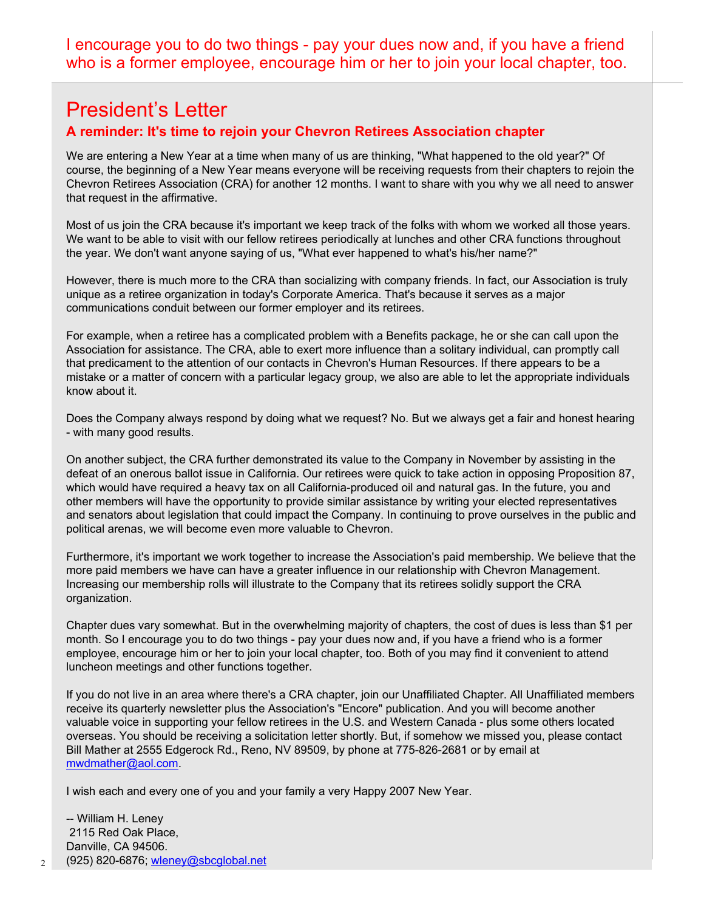I encourage you to do two things - pay your dues now and, if you have a friend who is a former employee, encourage him or her to join your local chapter, too.

### President's Letter **A reminder: It's time to rejoin your Chevron Retirees Association chapter**

We are entering a New Year at a time when many of us are thinking, "What happened to the old year?" Of course, the beginning of a New Year means everyone will be receiving requests from their chapters to rejoin the Chevron Retirees Association (CRA) for another 12 months. I want to share with you why we all need to answer that request in the affirmative.

Most of us join the CRA because it's important we keep track of the folks with whom we worked all those years. We want to be able to visit with our fellow retirees periodically at lunches and other CRA functions throughout the year. We don't want anyone saying of us, "What ever happened to what's his/her name?"

However, there is much more to the CRA than socializing with company friends. In fact, our Association is truly unique as a retiree organization in today's Corporate America. That's because it serves as a major communications conduit between our former employer and its retirees.

For example, when a retiree has a complicated problem with a Benefits package, he or she can call upon the Association for assistance. The CRA, able to exert more influence than a solitary individual, can promptly call that predicament to the attention of our contacts in Chevron's Human Resources. If there appears to be a mistake or a matter of concern with a particular legacy group, we also are able to let the appropriate individuals know about it.

Does the Company always respond by doing what we request? No. But we always get a fair and honest hearing - with many good results.

On another subject, the CRA further demonstrated its value to the Company in November by assisting in the defeat of an onerous ballot issue in California. Our retirees were quick to take action in opposing Proposition 87, which would have required a heavy tax on all California-produced oil and natural gas. In the future, you and other members will have the opportunity to provide similar assistance by writing your elected representatives and senators about legislation that could impact the Company. In continuing to prove ourselves in the public and political arenas, we will become even more valuable to Chevron.

Furthermore, it's important we work together to increase the Association's paid membership. We believe that the more paid members we have can have a greater influence in our relationship with Chevron Management. Increasing our membership rolls will illustrate to the Company that its retirees solidly support the CRA organization.

Chapter dues vary somewhat. But in the overwhelming majority of chapters, the cost of dues is less than \$1 per month. So I encourage you to do two things - pay your dues now and, if you have a friend who is a former employee, encourage him or her to join your local chapter, too. Both of you may find it convenient to attend luncheon meetings and other functions together.

If you do not live in an area where there's a CRA chapter, join our Unaffiliated Chapter. All Unaffiliated members receive its quarterly newsletter plus the Association's "Encore" publication. And you will become another valuable voice in supporting your fellow retirees in the U.S. and Western Canada - plus some others located overseas. You should be receiving a solicitation letter shortly. But, if somehow we missed you, please contact Bill Mather at 2555 Edgerock Rd., Reno, NV 89509, by phone at 775-826-2681 or by email at mwdmather@aol.com.

I wish each and every one of you and your family a very Happy 2007 New Year.

-- William H. Leney 2115 Red Oak Place, Danville, CA 94506. (925) 820-6876; wleney@sbcglobal.net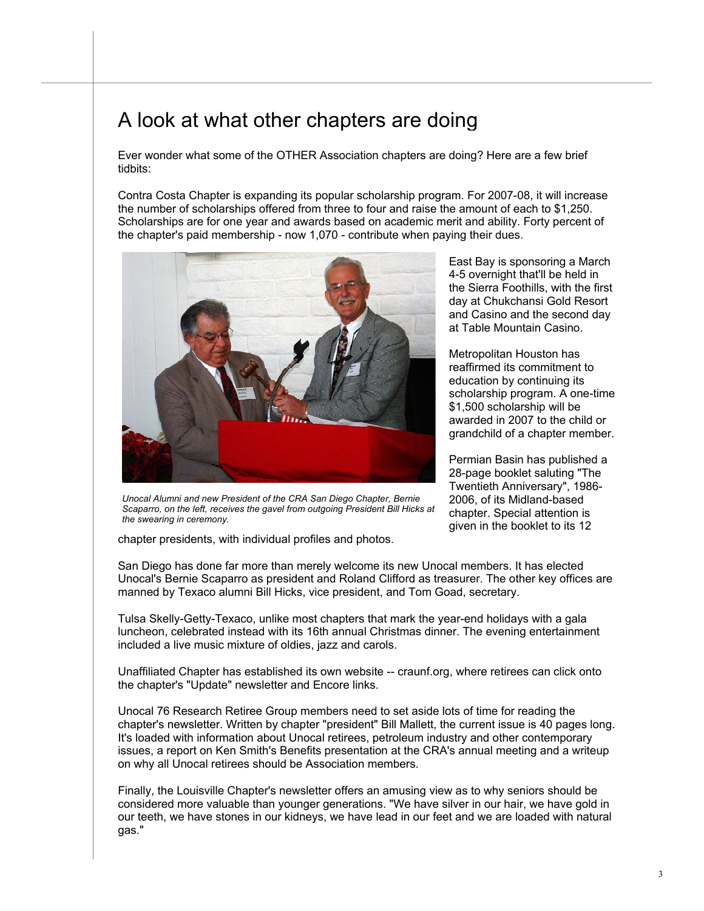## A look at what other chapters are doing

Ever wonder what some of the OTHER Association chapters are doing? Here are a few brief tidbits:

Contra Costa Chapter is expanding its popular scholarship program. For 2007-08, it will increase the number of scholarships offered from three to four and raise the amount of each to \$1,250. Scholarships are for one year and awards based on academic merit and ability. Forty percent of the chapter's paid membership - now 1,070 - contribute when paying their dues.



*Unocal Alumni and new President of the CRA San Diego Chapter, Bernie Scaparro, on the left, receives the gavel from outgoing President Bill Hicks at the swearing in ceremony.* 

chapter presidents, with individual profiles and photos.

East Bay is sponsoring a March 4-5 overnight that'll be held in the Sierra Foothills, with the first day at Chukchansi Gold Resort and Casino and the second day at Table Mountain Casino.

Metropolitan Houston has reaffirmed its commitment to education by continuing its scholarship program. A one-time \$1,500 scholarship will be awarded in 2007 to the child or grandchild of a chapter member.

Permian Basin has published a 28-page booklet saluting "The Twentieth Anniversary", 1986- 2006, of its Midland-based chapter. Special attention is given in the booklet to its 12

San Diego has done far more than merely welcome its new Unocal members. It has elected Unocal's Bernie Scaparro as president and Roland Clifford as treasurer. The other key offices are manned by Texaco alumni Bill Hicks, vice president, and Tom Goad, secretary.

Tulsa Skelly-Getty-Texaco, unlike most chapters that mark the year-end holidays with a gala luncheon, celebrated instead with its 16th annual Christmas dinner. The evening entertainment included a live music mixture of oldies, jazz and carols.

Unaffiliated Chapter has established its own website -- craunf.org, where retirees can click onto the chapter's "Update" newsletter and Encore links.

Unocal 76 Research Retiree Group members need to set aside lots of time for reading the chapter's newsletter. Written by chapter "president" Bill Mallett, the current issue is 40 pages long. It's loaded with information about Unocal retirees, petroleum industry and other contemporary issues, a report on Ken Smith's Benefits presentation at the CRA's annual meeting and a writeup on why all Unocal retirees should be Association members.

Finally, the Louisville Chapter's newsletter offers an amusing view as to why seniors should be considered more valuable than younger generations. "We have silver in our hair, we have gold in our teeth, we have stones in our kidneys, we have lead in our feet and we are loaded with natural gas."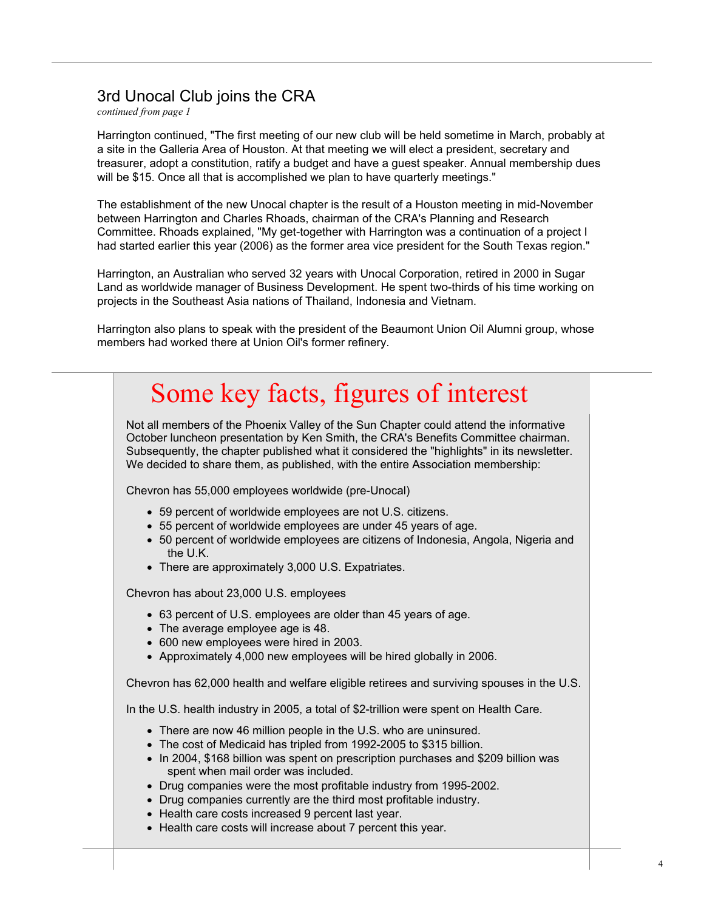#### 3rd Unocal Club joins the CRA

*continued from page 1*

Harrington continued, "The first meeting of our new club will be held sometime in March, probably at a site in the Galleria Area of Houston. At that meeting we will elect a president, secretary and treasurer, adopt a constitution, ratify a budget and have a guest speaker. Annual membership dues will be \$15. Once all that is accomplished we plan to have quarterly meetings."

The establishment of the new Unocal chapter is the result of a Houston meeting in mid-November between Harrington and Charles Rhoads, chairman of the CRA's Planning and Research Committee. Rhoads explained, "My get-together with Harrington was a continuation of a project I had started earlier this year (2006) as the former area vice president for the South Texas region."

Harrington, an Australian who served 32 years with Unocal Corporation, retired in 2000 in Sugar Land as worldwide manager of Business Development. He spent two-thirds of his time working on projects in the Southeast Asia nations of Thailand, Indonesia and Vietnam.

Harrington also plans to speak with the president of the Beaumont Union Oil Alumni group, whose members had worked there at Union Oil's former refinery.

# Some key facts, figures of interest

Not all members of the Phoenix Valley of the Sun Chapter could attend the informative October luncheon presentation by Ken Smith, the CRA's Benefits Committee chairman. Subsequently, the chapter published what it considered the "highlights" in its newsletter. We decided to share them, as published, with the entire Association membership:

Chevron has 55,000 employees worldwide (pre-Unocal)

- 59 percent of worldwide employees are not U.S. citizens.
- 55 percent of worldwide employees are under 45 years of age.
- 50 percent of worldwide employees are citizens of Indonesia, Angola, Nigeria and the U.K.
- There are approximately 3,000 U.S. Expatriates.

Chevron has about 23,000 U.S. employees

- 63 percent of U.S. employees are older than 45 years of age.
- The average employee age is 48.
- 600 new employees were hired in 2003.
- Approximately 4,000 new employees will be hired globally in 2006.

Chevron has 62,000 health and welfare eligible retirees and surviving spouses in the U.S.

In the U.S. health industry in 2005, a total of \$2-trillion were spent on Health Care.

- There are now 46 million people in the U.S. who are uninsured.
- The cost of Medicaid has tripled from 1992-2005 to \$315 billion.
- In 2004, \$168 billion was spent on prescription purchases and \$209 billion was spent when mail order was included.
- Drug companies were the most profitable industry from 1995-2002.
- Drug companies currently are the third most profitable industry.
- Health care costs increased 9 percent last year.
- Health care costs will increase about 7 percent this year.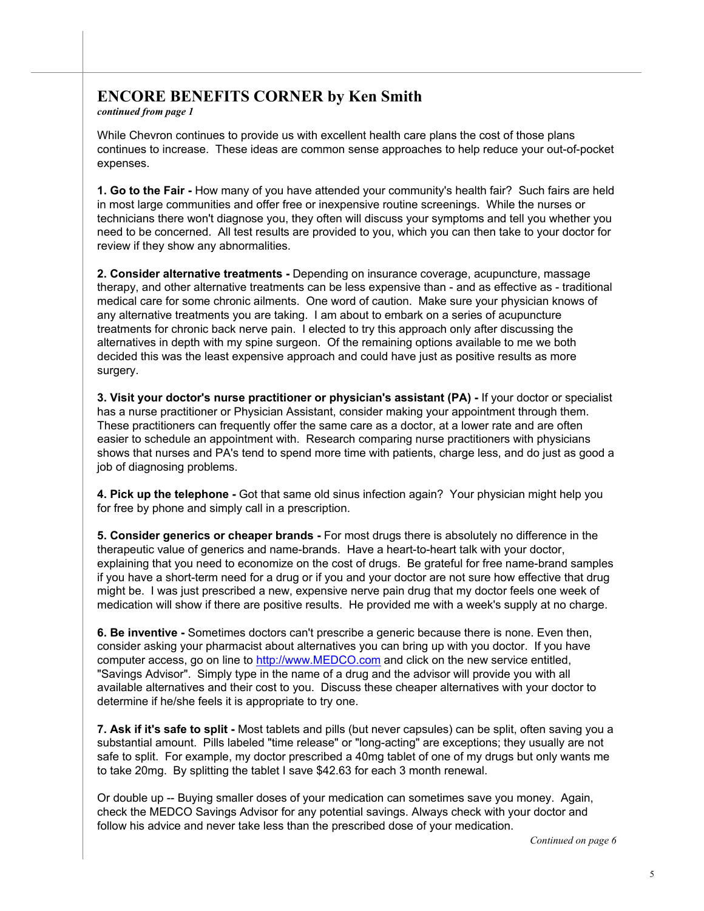#### **ENCORE BENEFITS CORNER by Ken Smith**

*continued from page 1*

While Chevron continues to provide us with excellent health care plans the cost of those plans continues to increase. These ideas are common sense approaches to help reduce your out-of-pocket expenses.

**1. Go to the Fair -** How many of you have attended your community's health fair? Such fairs are held in most large communities and offer free or inexpensive routine screenings. While the nurses or technicians there won't diagnose you, they often will discuss your symptoms and tell you whether you need to be concerned. All test results are provided to you, which you can then take to your doctor for review if they show any abnormalities.

**2. Consider alternative treatments -** Depending on insurance coverage, acupuncture, massage therapy, and other alternative treatments can be less expensive than - and as effective as - traditional medical care for some chronic ailments. One word of caution. Make sure your physician knows of any alternative treatments you are taking. I am about to embark on a series of acupuncture treatments for chronic back nerve pain. I elected to try this approach only after discussing the alternatives in depth with my spine surgeon. Of the remaining options available to me we both decided this was the least expensive approach and could have just as positive results as more surgery.

**3. Visit your doctor's nurse practitioner or physician's assistant (PA) -** If your doctor or specialist has a nurse practitioner or Physician Assistant, consider making your appointment through them. These practitioners can frequently offer the same care as a doctor, at a lower rate and are often easier to schedule an appointment with. Research comparing nurse practitioners with physicians shows that nurses and PA's tend to spend more time with patients, charge less, and do just as good a job of diagnosing problems.

**4. Pick up the telephone -** Got that same old sinus infection again? Your physician might help you for free by phone and simply call in a prescription.

**5. Consider generics or cheaper brands -** For most drugs there is absolutely no difference in the therapeutic value of generics and name-brands. Have a heart-to-heart talk with your doctor, explaining that you need to economize on the cost of drugs. Be grateful for free name-brand samples if you have a short-term need for a drug or if you and your doctor are not sure how effective that drug might be. I was just prescribed a new, expensive nerve pain drug that my doctor feels one week of medication will show if there are positive results. He provided me with a week's supply at no charge.

**6. Be inventive -** Sometimes doctors can't prescribe a generic because there is none. Even then, consider asking your pharmacist about alternatives you can bring up with you doctor. If you have computer access, go on line to http://www.MEDCO.com and click on the new service entitled, "Savings Advisor". Simply type in the name of a drug and the advisor will provide you with all available alternatives and their cost to you. Discuss these cheaper alternatives with your doctor to determine if he/she feels it is appropriate to try one.

**7. Ask if it's safe to split -** Most tablets and pills (but never capsules) can be split, often saving you a substantial amount. Pills labeled "time release" or "long-acting" are exceptions; they usually are not safe to split. For example, my doctor prescribed a 40mg tablet of one of my drugs but only wants me to take 20mg. By splitting the tablet I save \$42.63 for each 3 month renewal.

Or double up -- Buying smaller doses of your medication can sometimes save you money. Again, check the MEDCO Savings Advisor for any potential savings. Always check with your doctor and follow his advice and never take less than the prescribed dose of your medication.

*Continued on page 6*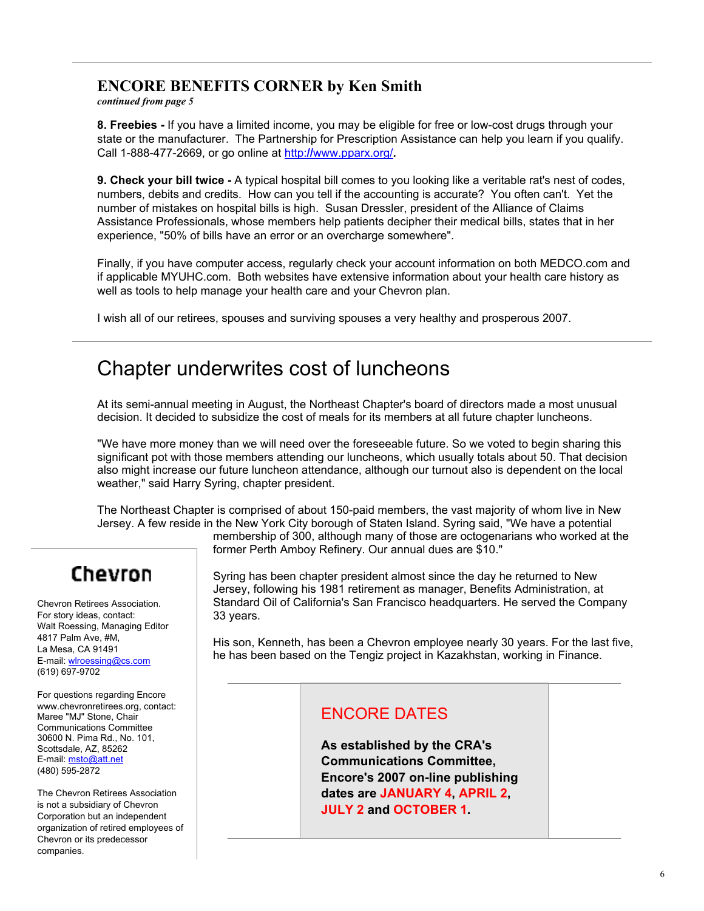#### **ENCORE BENEFITS CORNER by Ken Smith**

*continued from page 5*

**8. Freebies -** If you have a limited income, you may be eligible for free or low-cost drugs through your state or the manufacturer. The Partnership for Prescription Assistance can help you learn if you qualify. Call 1-888-477-2669, or go online at http:**//**www.pparx.org/**.** 

**9. Check your bill twice -** A typical hospital bill comes to you looking like a veritable rat's nest of codes, numbers, debits and credits. How can you tell if the accounting is accurate? You often can't. Yet the number of mistakes on hospital bills is high. Susan Dressler, president of the Alliance of Claims Assistance Professionals, whose members help patients decipher their medical bills, states that in her experience, "50% of bills have an error or an overcharge somewhere".

Finally, if you have computer access, regularly check your account information on both MEDCO.com and if applicable MYUHC.com. Both websites have extensive information about your health care history as well as tools to help manage your health care and your Chevron plan.

I wish all of our retirees, spouses and surviving spouses a very healthy and prosperous 2007.

### Chapter underwrites cost of luncheons

At its semi-annual meeting in August, the Northeast Chapter's board of directors made a most unusual decision. It decided to subsidize the cost of meals for its members at all future chapter luncheons.

"We have more money than we will need over the foreseeable future. So we voted to begin sharing this significant pot with those members attending our luncheons, which usually totals about 50. That decision also might increase our future luncheon attendance, although our turnout also is dependent on the local weather," said Harry Syring, chapter president.

The Northeast Chapter is comprised of about 150-paid members, the vast majority of whom live in New Jersey. A few reside in the New York City borough of Staten Island. Syring said, "We have a potential membership of 300, although many of those are octogenarians who worked at the

former Perth Amboy Refinery. Our annual dues are \$10."

# Chevron

Chevron Retirees Association. For story ideas, contact: Walt Roessing, Managing Editor 4817 Palm Ave, #M, La Mesa, CA 91491 E-mail: wlroessing@cs.com (619) 697-9702

For questions regarding Encore www.chevronretirees.org, contact: Maree "MJ" Stone, Chair Communications Committee 30600 N. Pima Rd., No. 101, Scottsdale, AZ, 85262 E-mail: msto@att.net (480) 595-2872

The Chevron Retirees Association is not a subsidiary of Chevron Corporation but an independent organization of retired employees of Chevron or its predecessor companies.

Syring has been chapter president almost since the day he returned to New Jersey, following his 1981 retirement as manager, Benefits Administration, at Standard Oil of California's San Francisco headquarters. He served the Company 33 years.

His son, Kenneth, has been a Chevron employee nearly 30 years. For the last five, he has been based on the Tengiz project in Kazakhstan, working in Finance.

#### ENCORE DATES

**As established by the CRA's Communications Committee, Encore's 2007 on-line publishing dates are JANUARY 4, APRIL 2, JULY 2 and OCTOBER 1.**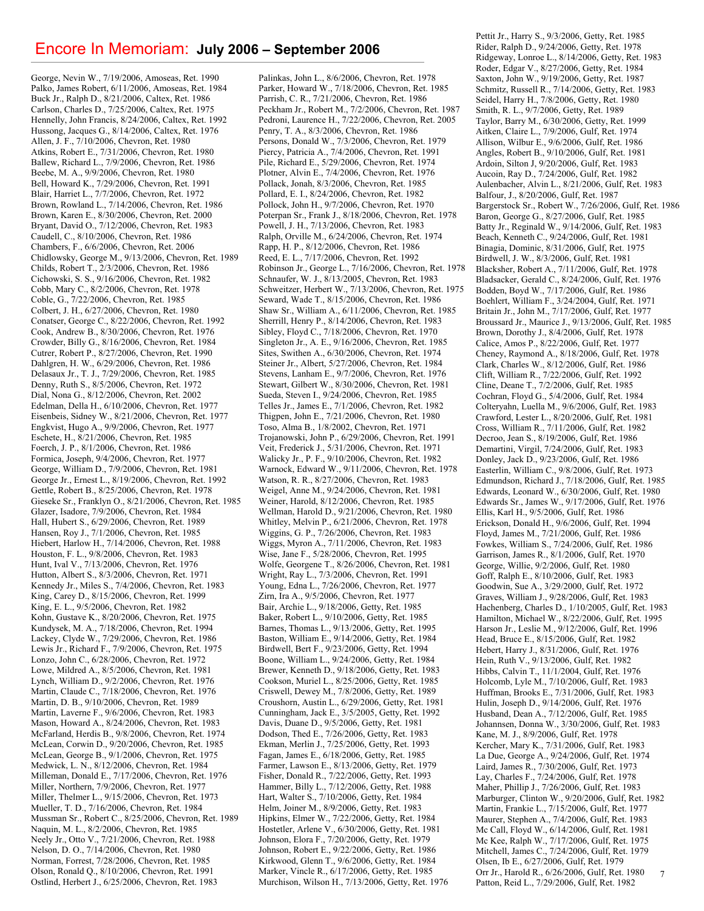#### Encore In Memoriam: **July 2006 – September 2006**

George, Nevin W., 7/19/2006, Amoseas, Ret. 1990 Palko, James Robert, 6/11/2006, Amoseas, Ret. 1984 Buck Jr., Ralph D., 8/21/2006, Caltex, Ret. 1986 Carlson, Charles D., 7/25/2006, Caltex, Ret. 1975 Hennelly, John Francis, 8/24/2006, Caltex, Ret. 1992 Hussong, Jacques G., 8/14/2006, Caltex, Ret. 1976 Allen, J. F., 7/10/2006, Chevron, Ret. 1980 Atkins, Robert E., 7/31/2006, Chevron, Ret. 1980 Ballew, Richard L., 7/9/2006, Chevron, Ret. 1986 Beebe, M. A., 9/9/2006, Chevron, Ret. 1980 Bell, Howard K., 7/29/2006, Chevron, Ret. 1991 Blair, Harriet L., 7/7/2006, Chevron, Ret. 1972 Brown, Rowland L., 7/14/2006, Chevron, Ret. 1986 Brown, Karen E., 8/30/2006, Chevron, Ret. 2000 Bryant, David O., 7/12/2006, Chevron, Ret. 1983 Caudell, C., 8/10/2006, Chevron, Ret. 1986 Chambers, F., 6/6/2006, Chevron, Ret. 2006 Chidlowsky, George M., 9/13/2006, Chevron, Ret. 1989 Childs, Robert T., 2/3/2006, Chevron, Ret. 1986 Cichowski, S. S., 9/16/2006, Chevron, Ret. 1982 Cobb, Mary C., 8/2/2006, Chevron, Ret. 1978 Coble, G., 7/22/2006, Chevron, Ret. 1985 Colbert, J. H., 6/27/2006, Chevron, Ret. 1980 Conatser, George C., 8/22/2006, Chevron, Ret. 1992 Cook, Andrew B., 8/30/2006, Chevron, Ret. 1976 Crowder, Billy G., 8/16/2006, Chevron, Ret. 1984 Cutrer, Robert P., 8/27/2006, Chevron, Ret. 1990 Dahlgren, H. W., 6/29/2006, Chevron, Ret. 1986 Delasaux Jr., T. J., 7/29/2006, Chevron, Ret. 1985 Denny, Ruth S., 8/5/2006, Chevron, Ret. 1972 Dial, Nona G., 8/12/2006, Chevron, Ret. 2002 Edelman, Della H., 6/10/2006, Chevron, Ret. 1977 Eisenbeis, Sidney W., 8/21/2006, Chevron, Ret. 1977 Engkvist, Hugo A., 9/9/2006, Chevron, Ret. 1977 Eschete, H., 8/21/2006, Chevron, Ret. 1985 Foerch, J. P., 8/1/2006, Chevron, Ret. 1986 Formica, Joseph, 9/4/2006, Chevron, Ret. 1977 George, William D., 7/9/2006, Chevron, Ret. 1981 George Jr., Ernest L., 8/19/2006, Chevron, Ret. 1992 Gettle, Robert B., 8/25/2006, Chevron, Ret. 1978 Gieseke Sr., Franklyn O., 8/21/2006, Chevron, Ret. 1985 Glazer, Isadore, 7/9/2006, Chevron, Ret. 1984 Hall, Hubert S., 6/29/2006, Chevron, Ret. 1989 Hansen, Roy J., 7/1/2006, Chevron, Ret. 1985 Hiebert, Harlow H., 7/14/2006, Chevron, Ret. 1988 Houston, F. L., 9/8/2006, Chevron, Ret. 1983 Hunt, Ival V., 7/13/2006, Chevron, Ret. 1976 Hutton, Albert S., 8/3/2006, Chevron, Ret. 1971 Kennedy Jr., Miles S., 7/4/2006, Chevron, Ret. 1983 King, Carey D., 8/15/2006, Chevron, Ret. 1999 King, E. L., 9/5/2006, Chevron, Ret. 1982 Kohn, Gustave K., 8/20/2006, Chevron, Ret. 1975 Kundysek, M. A., 7/18/2006, Chevron, Ret. 1994 Lackey, Clyde W., 7/29/2006, Chevron, Ret. 1986 Lewis Jr., Richard F., 7/9/2006, Chevron, Ret. 1975 Lonzo, John C., 6/28/2006, Chevron, Ret. 1972 Lowe, Mildred A., 8/5/2006, Chevron, Ret. 1981 Lynch, William D., 9/2/2006, Chevron, Ret. 1976 Martin, Claude C., 7/18/2006, Chevron, Ret. 1976 Martin, D. B., 9/10/2006, Chevron, Ret. 1989 Martin, Laverne F., 9/6/2006, Chevron, Ret. 1983 Mason, Howard A., 8/24/2006, Chevron, Ret. 1983 McFarland, Herdis B., 9/8/2006, Chevron, Ret. 1974 McLean, Corwin D., 9/20/2006, Chevron, Ret. 1985 McLean, George B., 9/1/2006, Chevron, Ret. 1975 Medwick, L. N., 8/12/2006, Chevron, Ret. 1984 Milleman, Donald E., 7/17/2006, Chevron, Ret. 1976 Miller, Northern, 7/9/2006, Chevron, Ret. 1977 Miller, Thelmer L., 9/15/2006, Chevron, Ret. 1973 Mueller, T. D., 7/16/2006, Chevron, Ret. 1984 Mussman Sr., Robert C., 8/25/2006, Chevron, Ret. 1989 Naquin, M. L., 8/2/2006, Chevron, Ret. 1985 Neely Jr., Otto V., 7/21/2006, Chevron, Ret. 1988 Nelson, D. O., 7/14/2006, Chevron, Ret. 1980 Norman, Forrest, 7/28/2006, Chevron, Ret. 1985 Olson, Ronald Q., 8/10/2006, Chevron, Ret. 1991 Ostlind, Herbert J., 6/25/2006, Chevron, Ret. 1983

Palinkas, John L., 8/6/2006, Chevron, Ret. 1978 Parker, Howard W., 7/18/2006, Chevron, Ret. 1985 Parrish, C. R., 7/21/2006, Chevron, Ret. 1986 Peckham Jr., Robert M., 7/2/2006, Chevron, Ret. 1987 Pedroni, Laurence H., 7/22/2006, Chevron, Ret. 2005 Penry, T. A., 8/3/2006, Chevron, Ret. 1986 Persons, Donald W., 7/3/2006, Chevron, Ret. 1979 Piercy, Patricia A., 7/4/2006, Chevron, Ret. 1991 Pile, Richard E., 5/29/2006, Chevron, Ret. 1974 Plotner, Alvin E., 7/4/2006, Chevron, Ret. 1976 Pollack, Jonah, 8/3/2006, Chevron, Ret. 1985 Pollard, E. I., 8/24/2006, Chevron, Ret. 1982 Pollock, John H., 9/7/2006, Chevron, Ret. 1970 Poterpan Sr., Frank J., 8/18/2006, Chevron, Ret. 1978 Powell, J. H., 7/13/2006, Chevron, Ret. 1983 Ralph, Orville M., 6/24/2006, Chevron, Ret. 1974 Rapp, H. P., 8/12/2006, Chevron, Ret. 1986 Reed, E. L., 7/17/2006, Chevron, Ret. 1992 Robinson Jr., George L., 7/16/2006, Chevron, Ret. 1978 Schnaufer, W. J., 8/13/2005, Chevron, Ret. 1983 Schweitzer, Herbert W., 7/13/2006, Chevron, Ret. 1975 Seward, Wade T., 8/15/2006, Chevron, Ret. 1986 Shaw Sr., William A., 6/11/2006, Chevron, Ret. 1985 Sherrill, Henry P., 8/14/2006, Chevron, Ret. 1983 Sibley, Floyd C., 7/18/2006, Chevron, Ret. 1970 Singleton Jr., A. E., 9/16/2006, Chevron, Ret. 1985 Sites, Swithen A., 6/30/2006, Chevron, Ret. 1974 Steiner Jr., Albert, 5/27/2006, Chevron, Ret. 1984 Stevens, Lanham E., 9/7/2006, Chevron, Ret. 1976 Stewart, Gilbert W., 8/30/2006, Chevron, Ret. 1981 Sueda, Steven I., 9/24/2006, Chevron, Ret. 1985 Telles Jr., James E., 7/1/2006, Chevron, Ret. 1982 Thigpen, John E., 7/21/2006, Chevron, Ret. 1980 Toso, Alma B., 1/8/2002, Chevron, Ret. 1971 Trojanowski, John P., 6/29/2006, Chevron, Ret. 1991 Veit, Frederick J., 5/31/2006, Chevron, Ret. 1971 Walicky Jr., P. F., 9/10/2006, Chevron, Ret. 1982 Warnock, Edward W., 9/11/2006, Chevron, Ret. 1978 Watson, R. R., 8/27/2006, Chevron, Ret. 1983 Weigel, Anne M., 9/24/2006, Chevron, Ret. 1981 Weiner, Harold, 8/12/2006, Chevron, Ret. 1985 Wellman, Harold D., 9/21/2006, Chevron, Ret. 1980 Whitley, Melvin P., 6/21/2006, Chevron, Ret. 1978 Wiggins, G. P., 7/26/2006, Chevron, Ret. 1983 Wiggs, Myron A., 7/11/2006, Chevron, Ret. 1983 Wise, Jane F., 5/28/2006, Chevron, Ret. 1995 Wolfe, Georgene T., 8/26/2006, Chevron, Ret. 1981 Wright, Ray L., 7/3/2006, Chevron, Ret. 1991 Young, Edna L., 7/26/2006, Chevron, Ret. 1977 Zirn, Ira A., 9/5/2006, Chevron, Ret. 1977 Bair, Archie L., 9/18/2006, Getty, Ret. 1985 Baker, Robert L., 9/10/2006, Getty, Ret. 1985 Barnes, Thomas L., 9/13/2006, Getty, Ret. 1995 Baston, William E., 9/14/2006, Getty, Ret. 1984 Birdwell, Bert F., 9/23/2006, Getty, Ret. 1994 Boone, William L., 9/24/2006, Getty, Ret. 1984 Brewer, Kenneth D., 9/18/2006, Getty, Ret. 1983 Cookson, Muriel L., 8/25/2006, Getty, Ret. 1985 Criswell, Dewey M., 7/8/2006, Getty, Ret. 1989 Croushorn, Austin L., 6/29/2006, Getty, Ret. 1981 Cunningham, Jack E., 3/5/2005, Getty, Ret. 1992 Davis, Duane D., 9/5/2006, Getty, Ret. 1981 Dodson, Thed E., 7/26/2006, Getty, Ret. 1983 Ekman, Merlin J., 7/25/2006, Getty, Ret. 1993 Fagan, James E., 6/18/2006, Getty, Ret. 1985 Farmer, Lawson E., 8/13/2006, Getty, Ret. 1979 Fisher, Donald R., 7/22/2006, Getty, Ret. 1993 Hammer, Billy L., 7/12/2006, Getty, Ret. 1988 Hart, Walter S., 7/10/2006, Getty, Ret. 1984 Helm, Joiner M., 8/9/2006, Getty, Ret. 1983 Hipkins, Elmer W., 7/22/2006, Getty, Ret. 1984 Hostetler, Arlene V., 6/30/2006, Getty, Ret. 1981 Johnson, Elora F., 7/20/2006, Getty, Ret. 1979 Johnson, Robert E., 9/22/2006, Getty, Ret. 1986 Kirkwood, Glenn T., 9/6/2006, Getty, Ret. 1984 Marker, Vincle R., 6/17/2006, Getty, Ret. 1985 Murchison, Wilson H., 7/13/2006, Getty, Ret. 1976

7 Pettit Jr., Harry S., 9/3/2006, Getty, Ret. 1985 Rider, Ralph D., 9/24/2006, Getty, Ret. 1978 Ridgeway, Lonroe L., 8/14/2006, Getty, Ret. 1983 Roder, Edgar V., 8/27/2006, Getty, Ret. 1984 Saxton, John W., 9/19/2006, Getty, Ret. 1987 Schmitz, Russell R., 7/14/2006, Getty, Ret. 1983 Seidel, Harry H., 7/8/2006, Getty, Ret. 1980 Smith, R. L., 9/7/2006, Getty, Ret. 1989 Taylor, Barry M., 6/30/2006, Getty, Ret. 1999 Aitken, Claire L., 7/9/2006, Gulf, Ret. 1974 Allison, Wilbur E., 9/6/2006, Gulf, Ret. 1986 Angles, Robert B., 9/10/2006, Gulf, Ret. 1981 Ardoin, Silton J, 9/20/2006, Gulf, Ret. 1983 Aucoin, Ray D., 7/24/2006, Gulf, Ret. 1982 Aulenbacher, Alvin L., 8/21/2006, Gulf, Ret. 1983 Balfour, J., 8/20/2006, Gulf, Ret. 1987 Bargerstock Sr., Robert W., 7/26/2006, Gulf, Ret. 1986 Baron, George G., 8/27/2006, Gulf, Ret. 1985 Batty Jr., Reginald W., 9/14/2006, Gulf, Ret. 1983 Beach, Kenneth C., 9/24/2006, Gulf, Ret. 1981 Binagia, Dominic, 8/31/2006, Gulf, Ret. 1975 Birdwell, J. W., 8/3/2006, Gulf, Ret. 1981 Blacksher, Robert A., 7/11/2006, Gulf, Ret. 1978 Bladsacker, Gerald C., 8/24/2006, Gulf, Ret. 1976 Bodden, Boyd W., 7/17/2006, Gulf, Ret. 1986 Boehlert, William F., 3/24/2004, Gulf, Ret. 1971 Britain Jr., John M., 7/17/2006, Gulf, Ret. 1977 Broussard Jr., Maurice J., 9/13/2006, Gulf, Ret. 1985 Brown, Dorothy J., 8/4/2006, Gulf, Ret. 1978 Calice, Amos P., 8/22/2006, Gulf, Ret. 1977 Cheney, Raymond A., 8/18/2006, Gulf, Ret. 1978 Clark, Charles W., 8/12/2006, Gulf, Ret. 1986 Clift, William R., 7/22/2006, Gulf, Ret. 1992 Cline, Deane T., 7/2/2006, Gulf, Ret. 1985 Cochran, Floyd G., 5/4/2006, Gulf, Ret. 1984 Colteryahn, Luella M., 9/6/2006, Gulf, Ret. 1983 Crawford, Lester L., 8/20/2006, Gulf, Ret. 1981 Cross, William R., 7/11/2006, Gulf, Ret. 1982 Decroo, Jean S., 8/19/2006, Gulf, Ret. 1986 Demartini, Virgil, 7/24/2006, Gulf, Ret. 1983 Donley, Jack D., 9/23/2006, Gulf, Ret. 1986 Easterlin, William C., 9/8/2006, Gulf, Ret. 1973 Edmundson, Richard J., 7/18/2006, Gulf, Ret. 1985 Edwards, Leonard W., 6/30/2006, Gulf, Ret. 1980 Edwards Sr., James W., 9/17/2006, Gulf, Ret. 1976 Ellis, Karl H., 9/5/2006, Gulf, Ret. 1986 Erickson, Donald H., 9/6/2006, Gulf, Ret. 1994 Floyd, James M., 7/21/2006, Gulf, Ret. 1986 Fowkes, William S., 7/24/2006, Gulf, Ret. 1986 Garrison, James R., 8/1/2006, Gulf, Ret. 1970 George, Willie, 9/2/2006, Gulf, Ret. 1980 Goff, Ralph E., 8/10/2006, Gulf, Ret. 1983 Goodwin, Sue A., 3/29/2000, Gulf, Ret. 1972 Graves, William J., 9/28/2006, Gulf, Ret. 1983 Hachenberg, Charles D., 1/10/2005, Gulf, Ret. 1983 Hamilton, Michael W., 8/22/2006, Gulf, Ret. 1995 Harson Jr., Leslie M., 9/12/2006, Gulf, Ret. 1996 Head, Bruce E., 8/15/2006, Gulf, Ret. 1982 Hebert, Harry J., 8/31/2006, Gulf, Ret. 1976 Hein, Ruth V., 9/13/2006, Gulf, Ret. 1982 Hibbs, Calvin T., 11/1/2004, Gulf, Ret. 1976 Holcomb, Lyle M., 7/10/2006, Gulf, Ret. 1983 Huffman, Brooks E., 7/31/2006, Gulf, Ret. 1983 Hulin, Joseph D., 9/14/2006, Gulf, Ret. 1976 Husband, Dean A., 7/12/2006, Gulf, Ret. 1985 Johannsen, Donna W., 3/30/2006, Gulf, Ret. 1983 Kane, M. J., 8/9/2006, Gulf, Ret. 1978 Kercher, Mary K., 7/31/2006, Gulf, Ret. 1983 La Due, George A., 9/24/2006, Gulf, Ret. 1974 Laird, James R., 7/30/2006, Gulf, Ret. 1973 Lay, Charles F., 7/24/2006, Gulf, Ret. 1978 Maher, Phillip J., 7/26/2006, Gulf, Ret. 1983 Marburger, Clinton W., 9/20/2006, Gulf, Ret. 1982 Martin, Frankie L., 7/15/2006, Gulf, Ret. 1977 Maurer, Stephen A., 7/4/2006, Gulf, Ret. 1983 Mc Call, Floyd W., 6/14/2006, Gulf, Ret. 1981 Mc Kee, Ralph W., 7/17/2006, Gulf, Ret. 1975 Mitchell, James C., 7/24/2006, Gulf, Ret. 1979 Olsen, Ib E., 6/27/2006, Gulf, Ret. 1979 Orr Jr., Harold R., 6/26/2006, Gulf, Ret. 1980 Patton, Reid L., 7/29/2006, Gulf, Ret. 1982